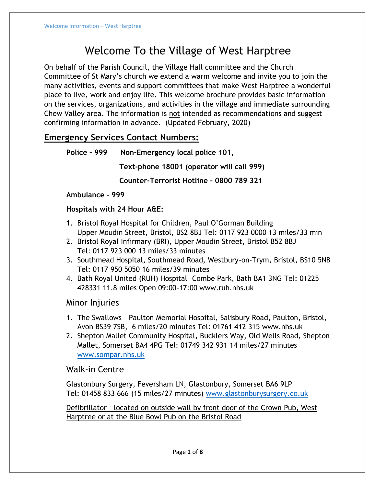# Welcome To the Village of West Harptree

On behalf of the Parish Council, the Village Hall committee and the Church Committee of St Mary's church we extend a warm welcome and invite you to join the many activities, events and support committees that make West Harptree a wonderful place to live, work and enjoy life. This welcome brochure provides basic information on the services, organizations, and activities in the village and immediate surrounding Chew Valley area. The information is not intended as recommendations and suggest confirming information in advance. (Updated February, 2020)

## **Emergency Services Contact Numbers:**

```
Police – 999 Non-Emergency local police 101,
```
 **Text-phone 18001 (operator will call 999)**

 **Counter-Terrorist Hotline – 0800 789 321**

#### **Ambulance - 999**

#### **Hospitals with 24 Hour A&E:**

- 1. Bristol Royal Hospital for Children, Paul O'Gorman Building Upper Moudin Street, Bristol, BS2 8BJ Tel: 0117 923 0000 13 miles/33 min
- 2. Bristol Royal Infirmary (BRI), Upper Moudin Street, Bristol B52 8BJ Tel: 0117 923 000 13 miles/33 minutes
- 3. Southmead Hospital, Southmead Road, Westbury-on-Trym, Bristol, BS10 5NB Tel: 0117 950 5050 16 miles/39 minutes
- 4. Bath Royal United (RUH) Hospital –Combe Park, Bath BA1 3NG Tel: 01225 428331 11.8 miles Open 09:00-17:00 www.ruh.nhs.uk

## Minor Injuries

- 1. The Swallows Paulton Memorial Hospital, Salisbury Road, Paulton, Bristol, Avon BS39 7SB, 6 miles/20 minutes Tel: 01761 412 315 www.nhs.uk
- 2. Shepton Mallet Community Hospital, Bucklers Way, Old Wells Road, Shepton Mallet, Somerset BA4 4PG Tel: 01749 342 931 14 miles/27 minutes [www.sompar.nhs.uk](http://www.sompar.nhs.uk/)

## Walk-in Centre

Glastonbury Surgery, Feversham LN, Glastonbury, Somerset BA6 9LP Tel: 01458 833 666 (15 miles/27 minutes) [www.glastonburysurgery.co.uk](http://www.glastonburysurgery.co.uk/)

Defibrillator – located on outside wall by front door of the Crown Pub, West Harptree or at the Blue Bowl Pub on the Bristol Road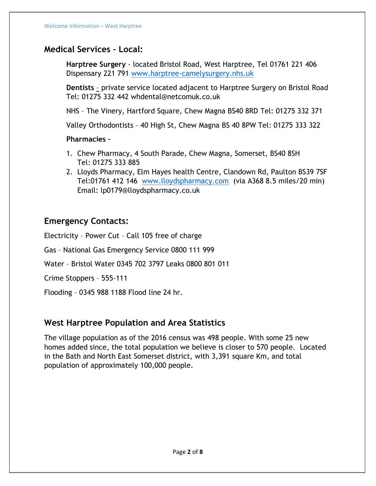## **Medical Services – Local:**

**Harptree Surgery** - located Bristol Road, West Harptree, Tel 01761 221 406 Dispensary 221 791 [www.harptree-camelysurgery.nhs.uk](http://www.harptree-camelysurgery.nhs.uk/)

**Dentists** – private service located adjacent to Harptree Surgery on Bristol Road Tel: 01275 332 442 whdental@netcomuk.co.uk

NHS – The Vinery, Hartford Square, Chew Magna BS40 8RD Tel: 01275 332 371

Valley Orthodontists – 40 High St, Chew Magna BS 40 8PW Tel: 01275 333 322

#### **Pharmacies –**

- 1. Chew Pharmacy, 4 South Parade, Chew Magna, Somerset, BS40 8SH Tel: 01275 333 885
- 2. Lloyds Pharmacy, Elm Hayes health Centre, Clandown Rd, Paulton BS39 7SF Tel:01761 412 146 [www.lloydspharmacy.com](http://www.lloydspharmacy.com/) (via A368 8.5 miles/20 min) Email: lp0179@lloydspharmacy.co.uk

## **Emergency Contacts:**

Electricity – Power Cut – Call 105 free of charge

Gas – National Gas Emergency Service 0800 111 999

Water – Bristol Water 0345 702 3797 Leaks 0800 801 011

Crime Stoppers – 555-111

Flooding – 0345 988 1188 Flood line 24 hr.

#### **West Harptree Population and Area Statistics**

The village population as of the 2016 census was 498 people. With some 25 new homes added since, the total population we believe is closer to 570 people. Located in the Bath and North East Somerset district, with 3,391 square Km, and total population of approximately 100,000 people.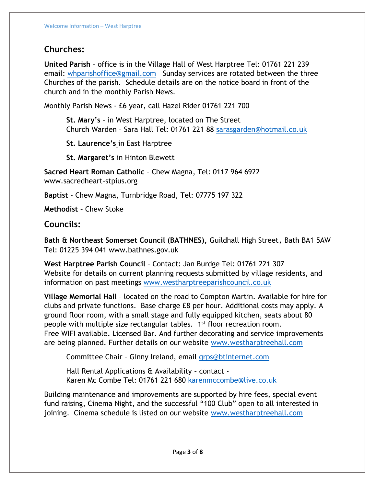## **Churches:**

**United Parish** – office is in the Village Hall of West Harptree Tel: 01761 221 239 email: [whparishoffice@gmail.com](mailto:whparishoffice@gmail.com) Sunday services are rotated between the three Churches of the parish. Schedule details are on the notice board in front of the church and in the monthly Parish News.

Monthly Parish News - £6 year, call Hazel Rider 01761 221 700

**St. Mary's** – in West Harptree, located on The Street Church Warden – Sara Hall Tel: 01761 221 88 [sarasgarden@hotmail.co.uk](mailto:sarasgarden@hotmail.co.uk)

**St. Laurence's** in East Harptree

**St. Margaret's** in Hinton Blewett

**Sacred Heart Roman Catholic** – Chew Magna, Tel: 0117 964 6922 www.sacredheart-stpius.org

**Baptist** – Chew Magna, Turnbridge Road, Tel: 07775 197 322

**Methodist** – Chew Stoke

#### **Councils:**

**Bath & Northeast Somerset Council (BATHNES),** Guildhall High Street, Bath BA1 5AW Tel: 01225 394 041 www.bathnes.gov.uk

**West Harptree Parish Council** – Contact: Jan Burdge Tel: 01761 221 307 Website for details on current planning requests submitted by village residents, and information on past meetings [www.westharptreeparishcouncil.co.uk](http://www.westharptreeparishcouncil.co.uk/)

**Village Memorial Hall** – located on the road to Compton Martin. Available for hire for clubs and private functions. Base charge £8 per hour. Additional costs may apply. A ground floor room, with a small stage and fully equipped kitchen, seats about 80 people with multiple size rectangular tables. 1<sup>st</sup> floor recreation room. Free WIFI available. Licensed Bar. And further decorating and service improvements are being planned. Further details on our website www.westharptreehall.com

Committee Chair – Ginny Ireland, email [qrps@btinternet.com](mailto:qrps@btinternet.com)

Hall Rental Applications & Availability – contact Karen Mc Combe Tel: 01761 221 680 [karenmccombe@live.co.uk](mailto:karenmccombe@live.co.uk)

Building maintenance and improvements are supported by hire fees, special event fund raising, Cinema Night, and the successful "100 Club" open to all interested in joining. Cinema schedule is listed on our website [www.westharptreehall.com](http://www.westharptreehall.com/)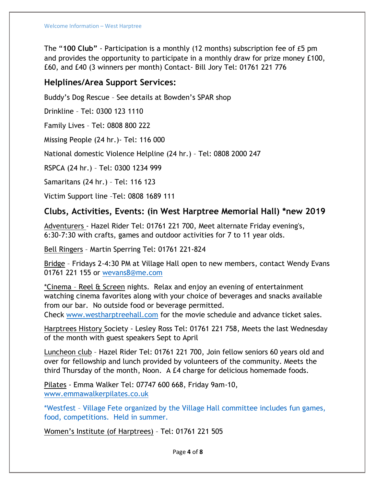The "**100 Club"** - Participation is a monthly (12 months) subscription fee of £5 pm and provides the opportunity to participate in a monthly draw for prize money £100, £60, and £40 (3 winners per month) Contact- Bill Jory Tel: 01761 221 776

#### **Helplines/Area Support Services:**

Buddy's Dog Rescue – See details at Bowden's SPAR shop

Drinkline – Tel: 0300 123 1110

Family Lives – Tel: 0808 800 222

Missing People (24 hr.)- Tel: 116 000

National domestic Violence Helpline (24 hr.) – Tel: 0808 2000 247

RSPCA (24 hr.) – Tel: 0300 1234 999

Samaritans (24 hr.) – Tel: 116 123

Victim Support line –Tel: 0808 1689 111

## **Clubs, Activities, Events: (in West Harptree Memorial Hall) \*new 2019**

Adventurers - Hazel Rider Tel: 01761 221 700, Meet alternate Friday evening's, 6:30-7:30 with crafts, games and outdoor activities for 7 to 11 year olds.

Bell Ringers – Martin Sperring Tel: 01761 221-824

Bridge – Fridays 2-4:30 PM at Village Hall open to new members, contact Wendy Evans 01761 221 155 or [wevans8@me.com](mailto:wevans8@me.com) 

\*Cinema – Reel & Screen nights. Relax and enjoy an evening of entertainment watching cinema favorites along with your choice of beverages and snacks available from our bar. No outside food or beverage permitted.

Check [www.westharptreehall.com](http://www.westharptreehall.com/) for the movie schedule and advance ticket sales.

Harptrees History Society - Lesley Ross Tel: 01761 221 758, Meets the last Wednesday of the month with guest speakers Sept to April

Luncheon club – Hazel Rider Tel: 01761 221 700, Join fellow seniors 60 years old and over for fellowship and lunch provided by volunteers of the community. Meets the third Thursday of the month, Noon. A £4 charge for delicious homemade foods.

Pilates - Emma Walker Tel: 07747 600 668, Friday 9am-10, [www.emmawalkerpilates.co.uk](http://www.emmawalkerpilates.co.uk/)

\*Westfest – Village Fete organized by the Village Hall committee includes fun games, food, competitions. Held in summer.

Women's Institute (of Harptrees) – Tel: 01761 221 505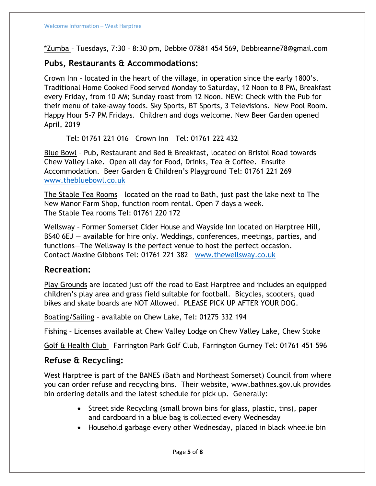\*Zumba – Tuesdays, 7:30 – 8:30 pm, Debbie 07881 454 569, Debbieanne78@gmail.com

## **Pubs, Restaurants & Accommodations:**

Crown Inn – located in the heart of the village, in operation since the early 1800's. Traditional Home Cooked Food served Monday to Saturday, 12 Noon to 8 PM, Breakfast every Friday, from 10 AM; Sunday roast from 12 Noon. NEW: Check with the Pub for their menu of take-away foods. Sky Sports, BT Sports, 3 Televisions. New Pool Room. Happy Hour 5-7 PM Fridays. Children and dogs welcome. New Beer Garden opened April, 2019

Tel: 01761 221 016 Crown Inn – Tel: 01761 222 432

Blue Bowl – Pub, Restaurant and Bed & Breakfast, located on Bristol Road towards Chew Valley Lake. Open all day for Food, Drinks, Tea & Coffee. Ensuite Accommodation. Beer Garden & Children's Playground Tel: 01761 221 269 [www.thebluebowl.co.uk](http://www.thebluebowl.co.uk/)

The Stable Tea Rooms – located on the road to Bath, just past the lake next to The New Manor Farm Shop, function room rental. Open 7 days a week. The Stable Tea rooms Tel: 01761 220 172

Wellsway – Former Somerset Cider House and Wayside Inn located on Harptree Hill, BS40 6EJ — available for hire only. Weddings, conferences, meetings, parties, and functions—The Wellsway is the perfect venue to host the perfect occasion. Contact Maxine Gibbons Tel: 01761 221 382 [www.thewellsway.co.uk](http://www.thewellsway.co.uk/)

#### **Recreation:**

Play Grounds are located just off the road to East Harptree and includes an equipped children's play area and grass field suitable for football. Bicycles, scooters, quad bikes and skate boards are NOT Allowed. PLEASE PICK UP AFTER YOUR DOG.

Boating/Sailing – available on Chew Lake, Tel: 01275 332 194

Fishing – Licenses available at Chew Valley Lodge on Chew Valley Lake, Chew Stoke

Golf & Health Club – Farrington Park Golf Club, Farrington Gurney Tel: 01761 451 596

#### **Refuse & Recycling:**

West Harptree is part of the BANES (Bath and Northeast Somerset) Council from where you can order refuse and recycling bins. Their website, www.bathnes.gov.uk provides bin ordering details and the latest schedule for pick up. Generally:

- Street side Recycling (small brown bins for glass, plastic, tins), paper and cardboard in a blue bag is collected every Wednesday
- Household garbage every other Wednesday, placed in black wheelie bin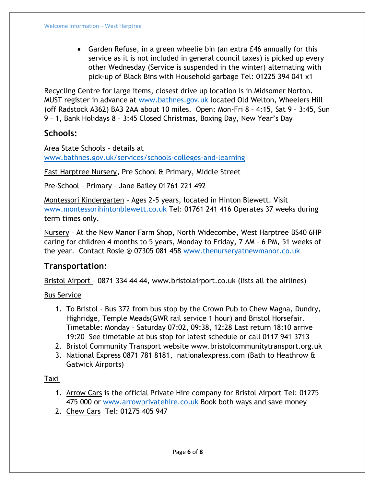• Garden Refuse, in a green wheelie bin (an extra £46 annually for this service as it is not included in general council taxes) is picked up every other Wednesday (Service is suspended in the winter) alternating with pick-up of Black Bins with Household garbage Tel: 01225 394 041 x1

Recycling Centre for large items, closest drive up location is in Midsomer Norton. MUST register in advance at [www.bathnes.gov.uk](http://www.bathnes.gov.uk/) located Old Welton, Wheelers Hill (off Radstock A362) BA3 2AA about 10 miles. Open: Mon-Fri 8 – 4:15, Sat 9 – 3:45, Sun 9 – 1, Bank Holidays 8 – 3:45 Closed Christmas, Boxing Day, New Year's Day

## **Schools:**

Area State Schools – details at [www.bathnes.gov.uk/services/schools-colleges-and-learning](http://www.bathnes.gov.uk/services/schools-colleges-and-learning)

East Harptree Nursery, Pre School & Primary, Middle Street

Pre-School – Primary – Jane Bailey 01761 221 492

Montessori Kindergarten – Ages 2-5 years, located in Hinton Blewett. Visit [www.montessorihintonblewett.co.uk](http://www.montessorihintonblewett.co.uk/) Tel: 01761 241 416 Operates 37 weeks during term times only.

Nursery – At the New Manor Farm Shop, North Widecombe, West Harptree BS40 6HP caring for children 4 months to 5 years, Monday to Friday, 7 AM – 6 PM, 51 weeks of the year. Contact Rosie @ 07305 081 458 [www.thenurseryatnewmanor.co.uk](http://www.thenurseryatnewmanor.co.uk/)

## **Transportation:**

Bristol Airport – 0871 334 44 44, www.bristolairport.co.uk (lists all the airlines)

#### Bus Service

- 1. To Bristol Bus 372 from bus stop by the Crown Pub to Chew Magna, Dundry, Highridge, Temple Meads(GWR rail service 1 hour) and Bristol Horsefair. Timetable: Monday – Saturday 07:02, 09:38, 12:28 Last return 18:10 arrive 19:20 See timetable at bus stop for latest schedule or call 0117 941 3713
- 2. Bristol Community Transport website www.bristolcommunitytransport.org.uk
- 3. National Express 0871 781 8181, nationalexpress.com (Bath to Heathrow & Gatwick Airports)

#### Taxi –

- 1. Arrow Cars is the official Private Hire company for Bristol Airport Tel: 01275 475 000 or [www.arrowprivatehire.co.uk](http://www.arrowprivatehire.co.uk/) Book both ways and save money
- 2. Chew Cars Tel: 01275 405 947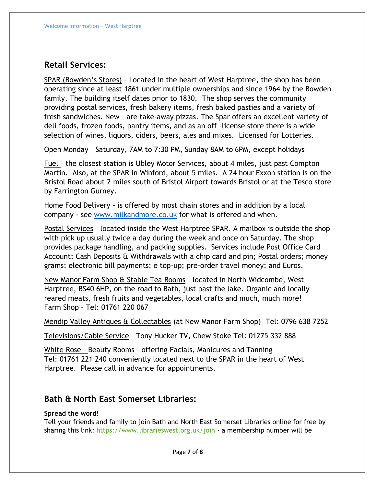## **Retail Services:**

SPAR (Bowden's Stores) – Located in the heart of West Harptree, the shop has been operating since at least 1861 under multiple ownerships and since 1964 by the Bowden family. The building itself dates prior to 1830. The shop serves the community providing postal services, fresh bakery items, fresh baked pasties and a variety of fresh sandwiches. New – are take-away pizzas. The Spar offers an excellent variety of deli foods, frozen foods, pantry items, and as an off –license store there is a wide selection of wines, liquors, ciders, beers, ales and mixes. Licensed for Lotteries.

Open Monday – Saturday, 7AM to 7:30 PM, Sunday 8AM to 6PM, except holidays

Fuel – the closest station is Ubley Motor Services, about 4 miles, just past Compton Martin. Also, at the SPAR in Winford, about 5 miles. A 24 hour Exxon station is on the Bristol Road about 2 miles south of Bristol Airport towards Bristol or at the Tesco store by Farrington Gurney.

Home Food Delivery – is offered by most chain stores and in addition by a local company - see [www.milkandmore.co.uk](http://www.milkandmore.co.uk/) for what is offered and when.

Postal Services – located inside the West Harptree SPAR. A mailbox is outside the shop with pick up usually twice a day during the week and once on Saturday. The shop provides package handling, and packing supplies. Services include Post Office Card Account; Cash Deposits & Withdrawals with a chip card and pin; Postal orders; money grams; electronic bill payments; e top-up; pre-order travel money; and Euros.

New Manor Farm Shop & Stable Tea Rooms – located in North Widcombe, West Harptree, BS40 6HP, on the road to Bath, just past the lake. Organic and locally reared meats, fresh fruits and vegetables, local crafts and much, much more! Farm Shop – Tel: 01761 220 067

Mendip Valley Antiques & Collectables (at New Manor Farm Shop) –Tel: 0796 638 7252

Televisions/Cable Service – Tony Hucker TV, Chew Stoke Tel: 01275 332 888

White Rose – Beauty Rooms – offering Facials, Manicures and Tanning – Tel: 01761 221 240 conveniently located next to the SPAR in the heart of West Harptree. Please call in advance for appointments.

## **Bath & North East Somerset Libraries:**

#### **Spread the word!**

Tell your friends and family to join Bath and North East Somerset Libraries online for free by sharing this link: <https://www.librarieswest.org.uk/join> - a membership number will be